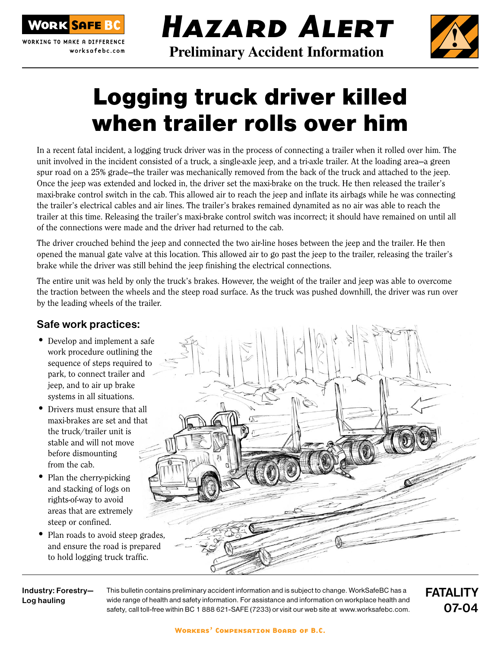

WORKING TO MAKE A DIFFERENCE worksafebc.com Hazard Alert **!**

# **Preliminary Accident Information**

# Logging truck driver killed when trailer rolls over him

In a recent fatal incident, a logging truck driver was in the process of connecting a trailer when it rolled over him. The unit involved in the incident consisted of a truck, a single-axle jeep, and a tri-axle trailer. At the loading area—a green spur road on a 25% grade—the trailer was mechanically removed from the back of the truck and attached to the jeep. Once the jeep was extended and locked in, the driver set the maxi-brake on the truck. He then released the trailer's maxi-brake control switch in the cab. This allowed air to reach the jeep and inflate its airbags while he was connecting the trailer's electrical cables and air lines. The trailer's brakes remained dynamited as no air was able to reach the trailer at this time. Releasing the trailer's maxi-brake control switch was incorrect; it should have remained on until all of the connections were made and the driver had returned to the cab.

The driver crouched behind the jeep and connected the two air-line hoses between the jeep and the trailer. He then opened the manual gate valve at this location. This allowed air to go past the jeep to the trailer, releasing the trailer's brake while the driver was still behind the jeep finishing the electrical connections.

The entire unit was held by only the truck's brakes. However, the weight of the trailer and jeep was able to overcome the traction between the wheels and the steep road surface. As the truck was pushed downhill, the driver was run over by the leading wheels of the trailer.

### Safe work practices:

- Develop and implement a safe work procedure outlining the sequence of steps required to park, to connect trailer and jeep, and to air up brake systems in all situations.
- Drivers must ensure that all maxi-brakes are set and that the truck/trailer unit is stable and will not move before dismounting from the cab.
- Plan the cherry-picking and stacking of logs on rights-of-way to avoid areas that are extremely steep or confined.
- Plan roads to avoid steep grades, and ensure the road is prepared to hold logging truck traffic.

Industry: Forestry— Log hauling

This bulletin contains preliminary accident information and is subject to change. WorkSafeBC has a wide range of health and safety information. For assistance and information on workplace health and safety, call toll-free within BC 1 888 621-SAFE (7233) or visit our web site at www.worksafebc.com.

FATALITY 07-04